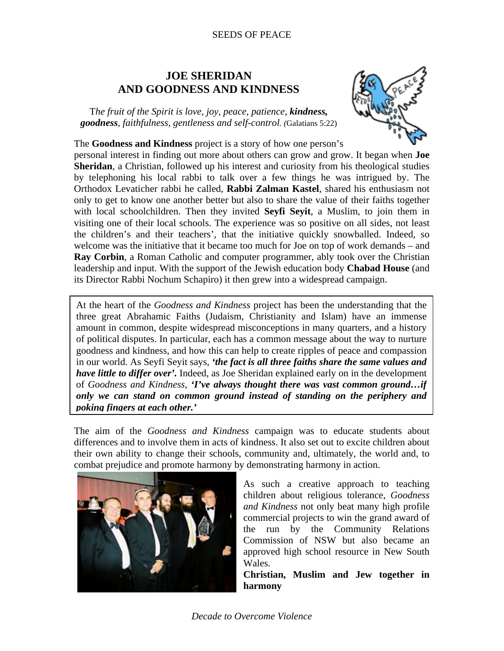## SEEDS OF PEACE

## **JOE SHERIDAN AND GOODNESS AND KINDNESS**

T*he fruit of the Spirit is love, joy, peace, patience, kindness, goodness, faithfulness, gentleness and self-control. (*Galatians 5:22)



The **Goodness and Kindness** project is a story of how one person's personal interest in finding out more about others can grow and grow. It began when **Joe Sheridan**, a Christian, followed up his interest and curiosity from his theological studies by telephoning his local rabbi to talk over a few things he was intrigued by. The Orthodox Levaticher rabbi he called, **Rabbi Zalman Kastel**, shared his enthusiasm not only to get to know one another better but also to share the value of their faiths together with local schoolchildren. Then they invited **Seyfi Seyit**, a Muslim, to join them in visiting one of their local schools. The experience was so positive on all sides, not least the children's and their teachers', that the initiative quickly snowballed. Indeed, so welcome was the initiative that it became too much for Joe on top of work demands – and **Ray Corbin**, a Roman Catholic and computer programmer, ably took over the Christian leadership and input. With the support of the Jewish education body **Chabad House** (and its Director Rabbi Nochum Schapiro) it then grew into a widespread campaign.

At the heart of the *Goodness and Kindness* project has been the understanding that the three great Abrahamic Faiths (Judaism, Christianity and Islam) have an immense amount in common, despite widespread misconceptions in many quarters, and a history of political disputes. In particular, each has a common message about the way to nurture goodness and kindness, and how this can help to create ripples of peace and compassion in our world. As Seyfi Seyit says, *'the fact is all three faiths share the same values and have little to differ over'*. Indeed, as Joe Sheridan explained early on in the development of *Goodness and Kindness*, *'I've always thought there was vast common ground…if only we can stand on common ground instead of standing on the periphery and poking fingers at each other.'*

The aim of the *Goodness and Kindness* campaign was to educate students about differences and to involve them in acts of kindness. It also set out to excite children about their own ability to change their schools, community and, ultimately, the world and, to combat prejudice and promote harmony by demonstrating harmony in action.



As such a creative approach to teaching children about religious tolerance, *Goodness and Kindness* not only beat many high profile commercial projects to win the grand award of the run by the Community Relations Commission of NSW but also became an approved high school resource in New South Wales.

**Christian, Muslim and Jew together in harmony**